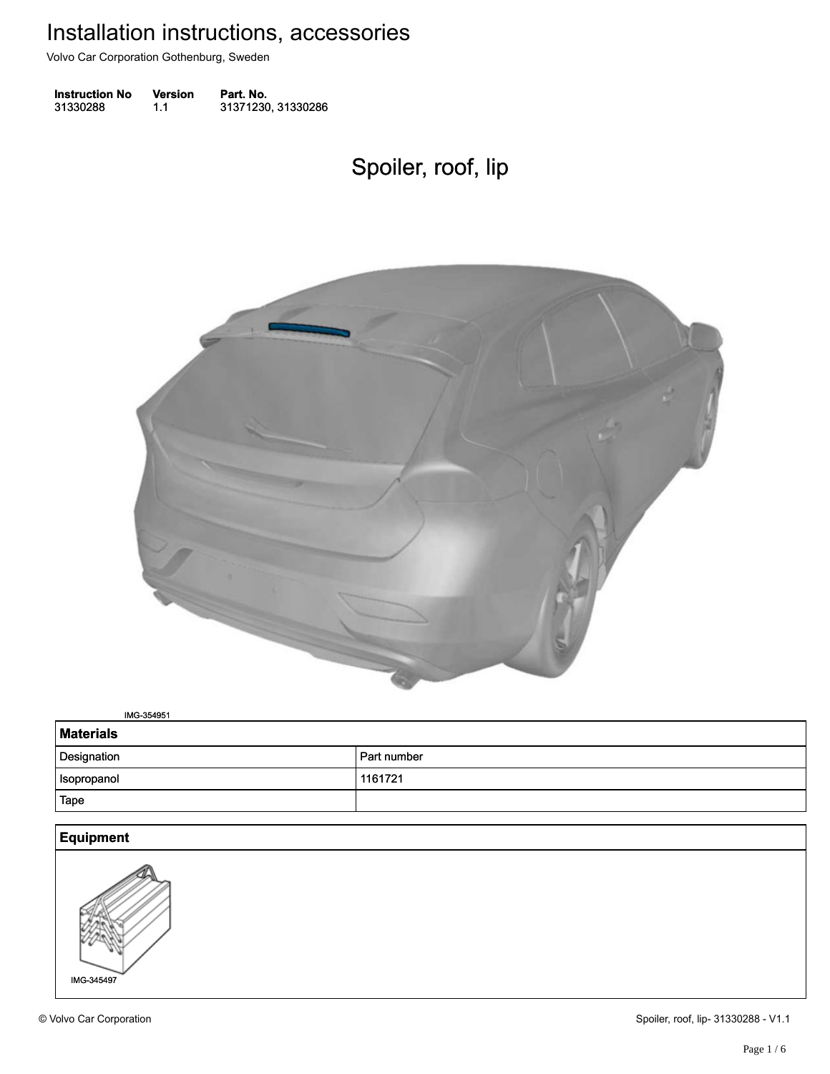Volvo Car Corporation Gothenburg, Sweden

| <b>Instruction No</b> | <b>Version</b> | Part. No.          |
|-----------------------|----------------|--------------------|
| 31330288              | 1.1            | 31371230, 31330286 |

# Spoiler, roof, lip Spoiler, roof, lip



IMG-354951 IMG-354951

| <b>Materials</b> |               |  |
|------------------|---------------|--|
| Designation      | I Part number |  |
| Isopropanol      | 1161721       |  |
| Tape             |               |  |

#### **Equipment Equipment**



© Volvo Car Corporation Spoiler, roof, lip- 31330288 - V1.1

٦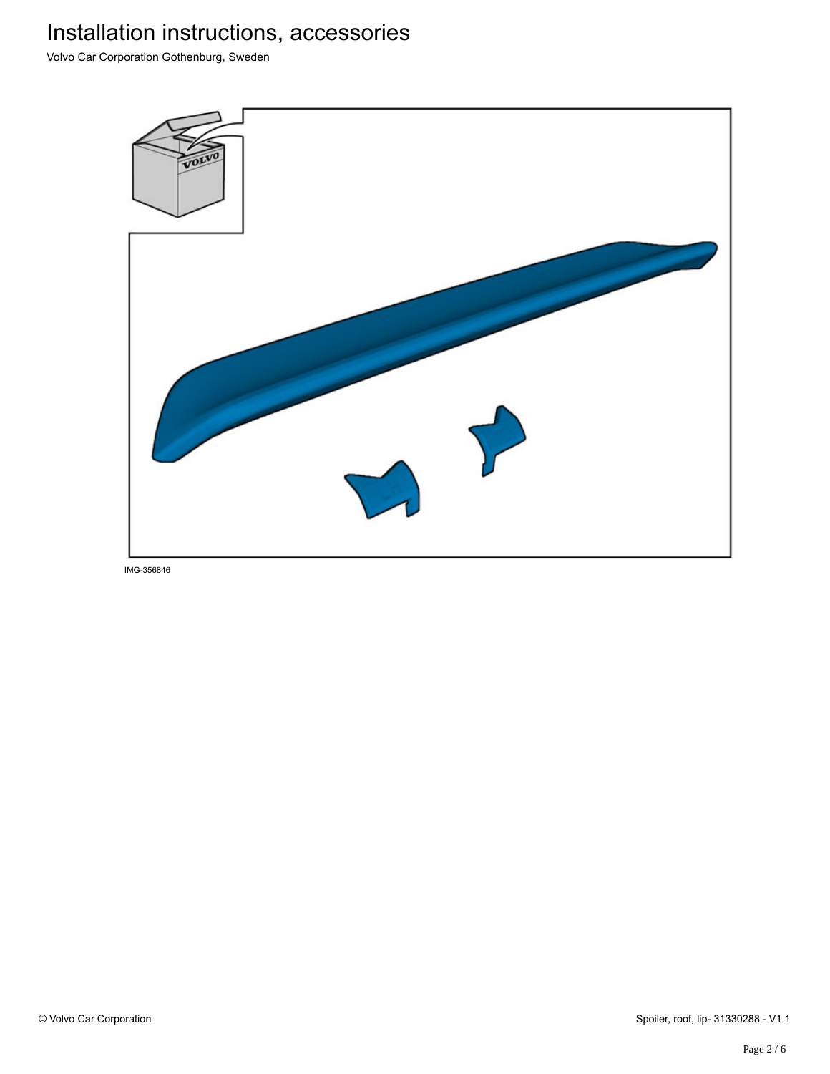Volvo Car Corporation Gothenburg, Sweden



IMG-356846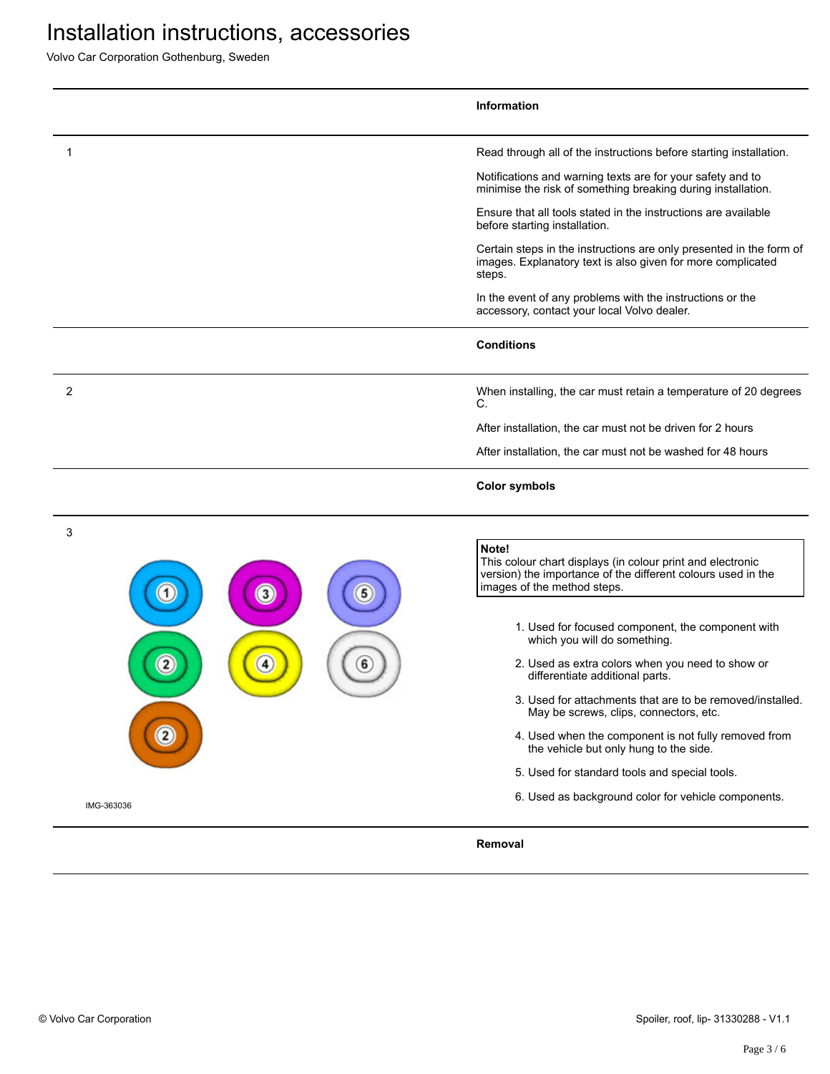Volvo Car Corporation Gothenburg, Sweden

|            | Information                                                                                                                                  |
|------------|----------------------------------------------------------------------------------------------------------------------------------------------|
| 1          | Read through all of the instructions before starting installation.                                                                           |
|            | Notifications and warning texts are for your safety and to<br>minimise the risk of something breaking during installation.                   |
|            | Ensure that all tools stated in the instructions are available<br>before starting installation.                                              |
|            | Certain steps in the instructions are only presented in the form of<br>images. Explanatory text is also given for more complicated<br>steps. |
|            | In the event of any problems with the instructions or the<br>accessory, contact your local Volvo dealer.                                     |
|            | <b>Conditions</b>                                                                                                                            |
| 2          | When installing, the car must retain a temperature of 20 degrees<br>C.                                                                       |
|            | After installation, the car must not be driven for 2 hours                                                                                   |
|            | After installation, the car must not be washed for 48 hours                                                                                  |
|            | <b>Color symbols</b>                                                                                                                         |
| 3          | Note!<br>This colour chart displays (in colour print and electronic<br>version) the importance of the different colours used in the          |
| 5<br>3     | images of the method steps.                                                                                                                  |
|            | 1. Used for focused component, the component with<br>which you will do something.                                                            |
| 6          | 2. Used as extra colors when you need to show or<br>differentiate additional parts.                                                          |
|            | 3. Used for attachments that are to be removed/installed.<br>May be screws, clips, connectors, etc.                                          |
|            | 4. Used when the component is not fully removed from<br>the vehicle but only hung to the side.                                               |
|            | 5. Used for standard tools and special tools.                                                                                                |
| IMG-363036 | 6. Used as background color for vehicle components.                                                                                          |
|            |                                                                                                                                              |
|            | Removal                                                                                                                                      |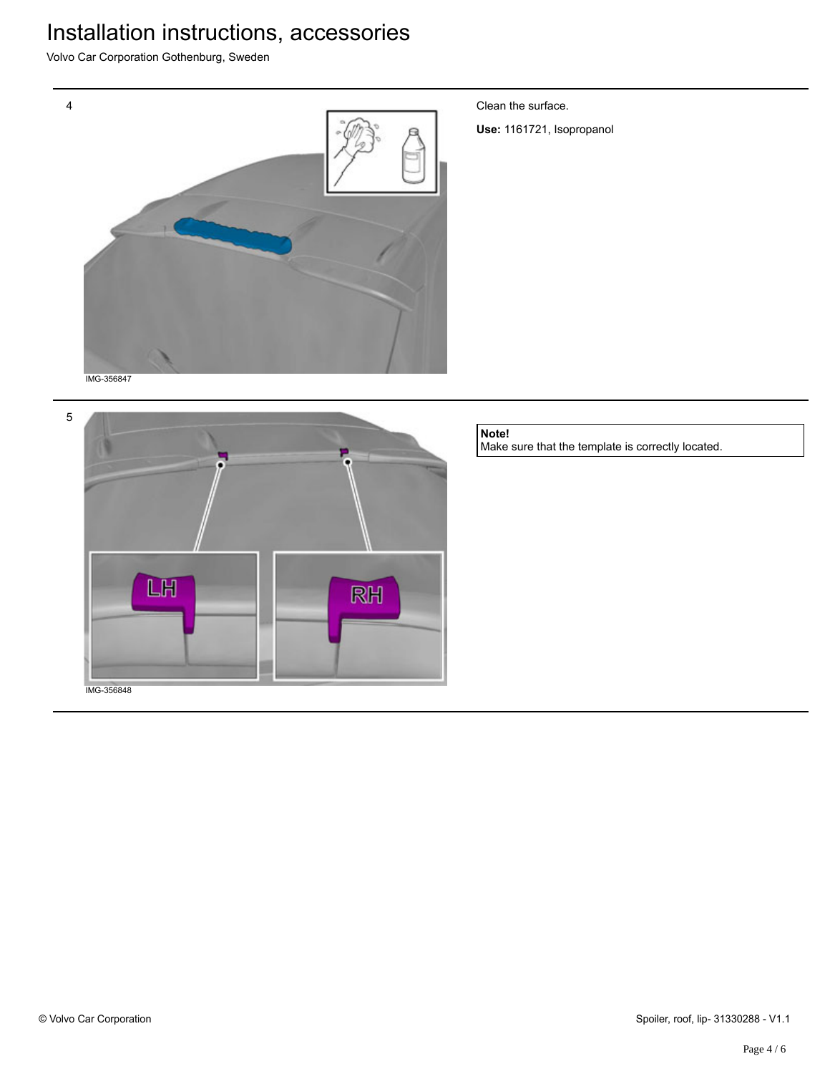Volvo Car Corporation Gothenburg, Sweden

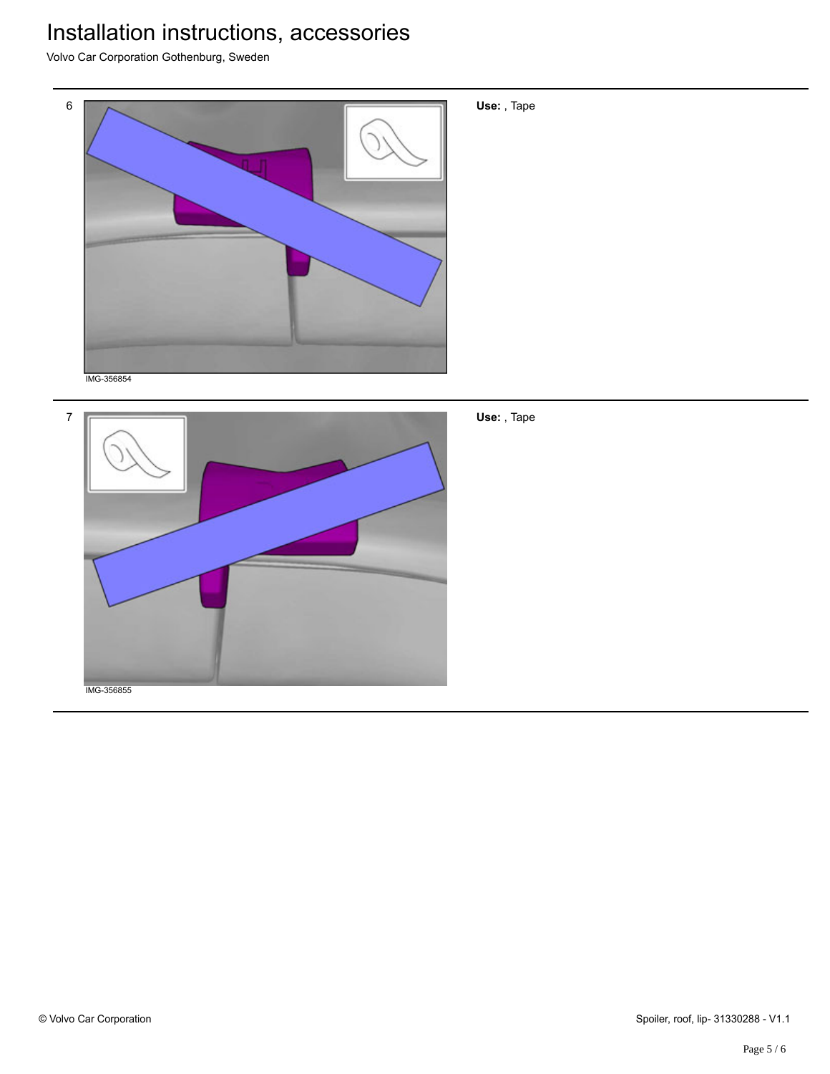Volvo Car Corporation Gothenburg, Sweden





**Use:** , Tape

**Use:** , Tape